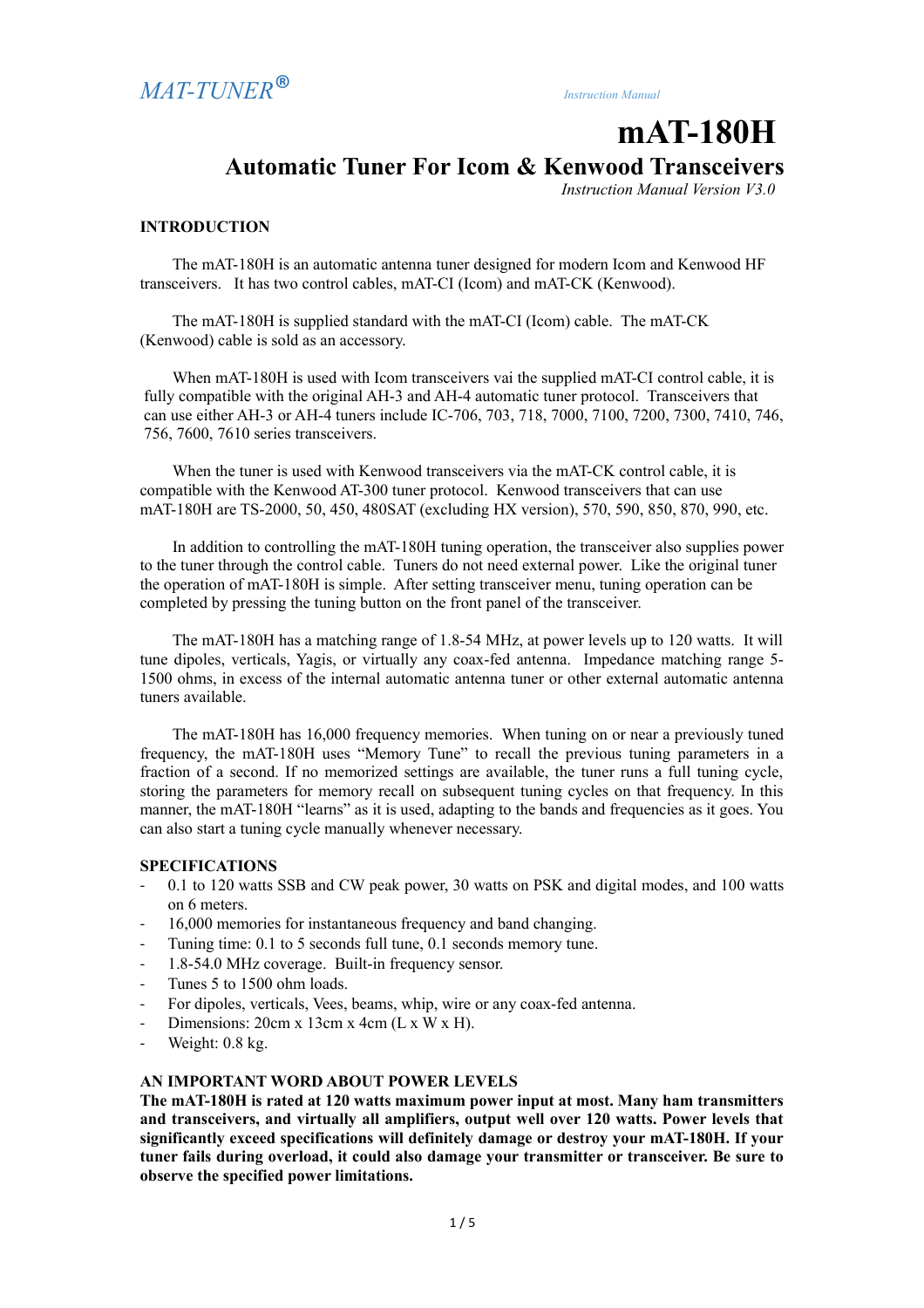# **mAT-180H Automatic Tuner For Icom & Kenwood Transceivers**

*Instruction Manual Version V3.0* 

### **INTRODUCTION**

The mAT-180H is an automatic antenna tuner designed for modern Icom and Kenwood HF transceivers. It has two control cables, mAT-CI (Icom) and mAT-CK (Kenwood).

The mAT-180H is supplied standard with the mAT-CI (Icom) cable. The mAT-CK (Kenwood) cable is sold as an accessory.

When mAT-180H is used with Icom transceivers vai the supplied mAT-CI control cable, it is fully compatible with the original AH-3 and AH-4 automatic tuner protocol. Transceivers that can use either AH-3 or AH-4 tuners include IC-706, 703, 718, 7000, 7100, 7200, 7300, 7410, 746, 756, 7600, 7610 series transceivers.

When the tuner is used with Kenwood transceivers via the mAT-CK control cable, it is compatible with the Kenwood AT-300 tuner protocol. Kenwood transceivers that can use mAT-180H are TS-2000, 50, 450, 480SAT (excluding HX version), 570, 590, 850, 870, 990, etc.

In addition to controlling the mAT-180H tuning operation, the transceiver also supplies power to the tuner through the control cable. Tuners do not need external power. Like the original tuner the operation of mAT-180H is simple. After setting transceiver menu, tuning operation can be completed by pressing the tuning button on the front panel of the transceiver.

The mAT-180H has a matching range of 1.8-54 MHz, at power levels up to 120 watts. It will tune dipoles, verticals, Yagis, or virtually any coax-fed antenna. Impedance matching range 5- 1500 ohms, in excess of the internal automatic antenna tuner or other external automatic antenna tuners available.

The mAT-180H has 16,000 frequency memories. When tuning on or near a previously tuned frequency, the mAT-180H uses "Memory Tune" to recall the previous tuning parameters in a fraction of a second. If no memorized settings are available, the tuner runs a full tuning cycle, storing the parameters for memory recall on subsequent tuning cycles on that frequency. In this manner, the mAT-180H "learns" as it is used, adapting to the bands and frequencies as it goes. You can also start a tuning cycle manually whenever necessary.

# **SPECIFICATIONS**

- 0.1 to 120 watts SSB and CW peak power, 30 watts on PSK and digital modes, and 100 watts on 6 meters.
- 16,000 memories for instantaneous frequency and band changing.
- Tuning time: 0.1 to 5 seconds full tune, 0.1 seconds memory tune.
- 1.8-54.0 MHz coverage. Built-in frequency sensor.
- Tunes 5 to 1500 ohm loads.
- For dipoles, verticals, Vees, beams, whip, wire or any coax-fed antenna.
- Dimensions:  $20cm \times 13cm \times 4cm$  (L  $\times W \times H$ ).
- Weight: 0.8 kg.

# **AN IMPORTANT WORD ABOUT POWER LEVELS**

**The mAT-180H is rated at 120 watts maximum power input at most. Many ham transmitters and transceivers, and virtually all amplifiers, output well over 120 watts. Power levels that significantly exceed specifications will definitely damage or destroy your mAT-180H. If your tuner fails during overload, it could also damage your transmitter or transceiver. Be sure to observe the specified power limitations.**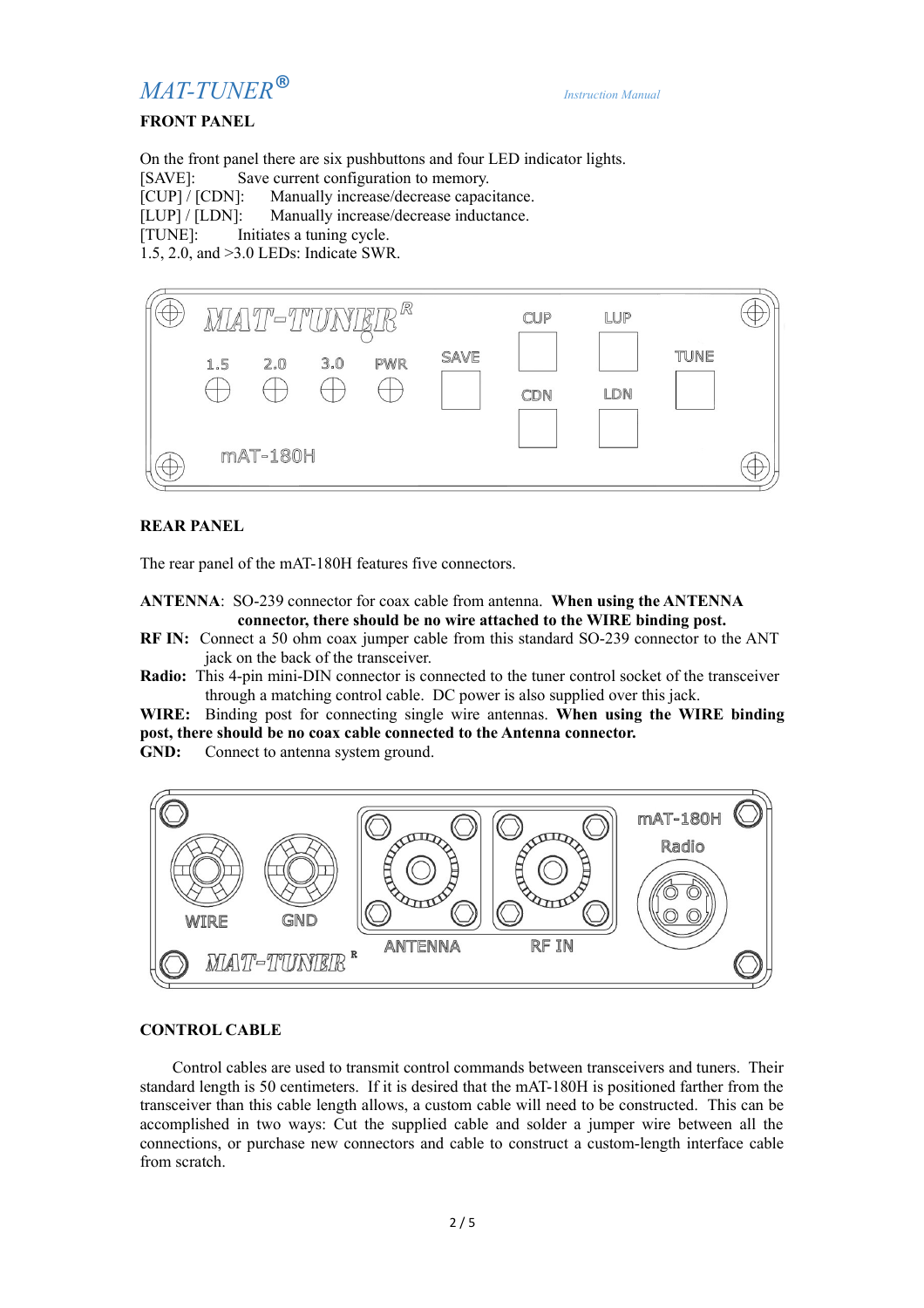# *MAT-TUNER*® *Instruction Manual*

# **FRONT PANEL**

On the front panel there are six pushbuttons and four LED indicator lights. [SAVE]: Save current configuration to memory. [CUP] / [CDN]: Manually increase/decrease capacitance. [LUP] / [LDN]: Manually increase/decrease inductance. [TUNE]: Initiates a tuning cycle. 1.5, 2.0, and >3.0 LEDs: Indicate SWR.



# **REAR PANEL**

The rear panel of the mAT-180H features five connectors.

**ANTENNA**: SO-239 connector for coax cable from antenna. **When using the ANTENNA connector, there should be no wire attached to the WIRE binding post.**

- **RF IN:** Connect a 50 ohm coax jumper cable from this standard SO-239 connector to the ANT jack on the back of the transceiver.
- **Radio:** This 4-pin mini-DIN connector is connected to the tuner control socket of the transceiver through a matching control cable. DC power is also supplied over this jack.

**WIRE:** Binding post for connecting single wire antennas. **When using the WIRE binding post, there should be no coax cable connected to the Antenna connector.**

GND: Connect to antenna system ground.



# **CONTROL CABLE**

Control cables are used to transmit control commands between transceivers and tuners. Their standard length is 50 centimeters. If it is desired that the mAT-180H is positioned farther from the transceiver than this cable length allows, a custom cable will need to be constructed. This can be accomplished in two ways: Cut the supplied cable and solder a jumper wire between all the connections, or purchase new connectors and cable to construct a custom-length interface cable from scratch.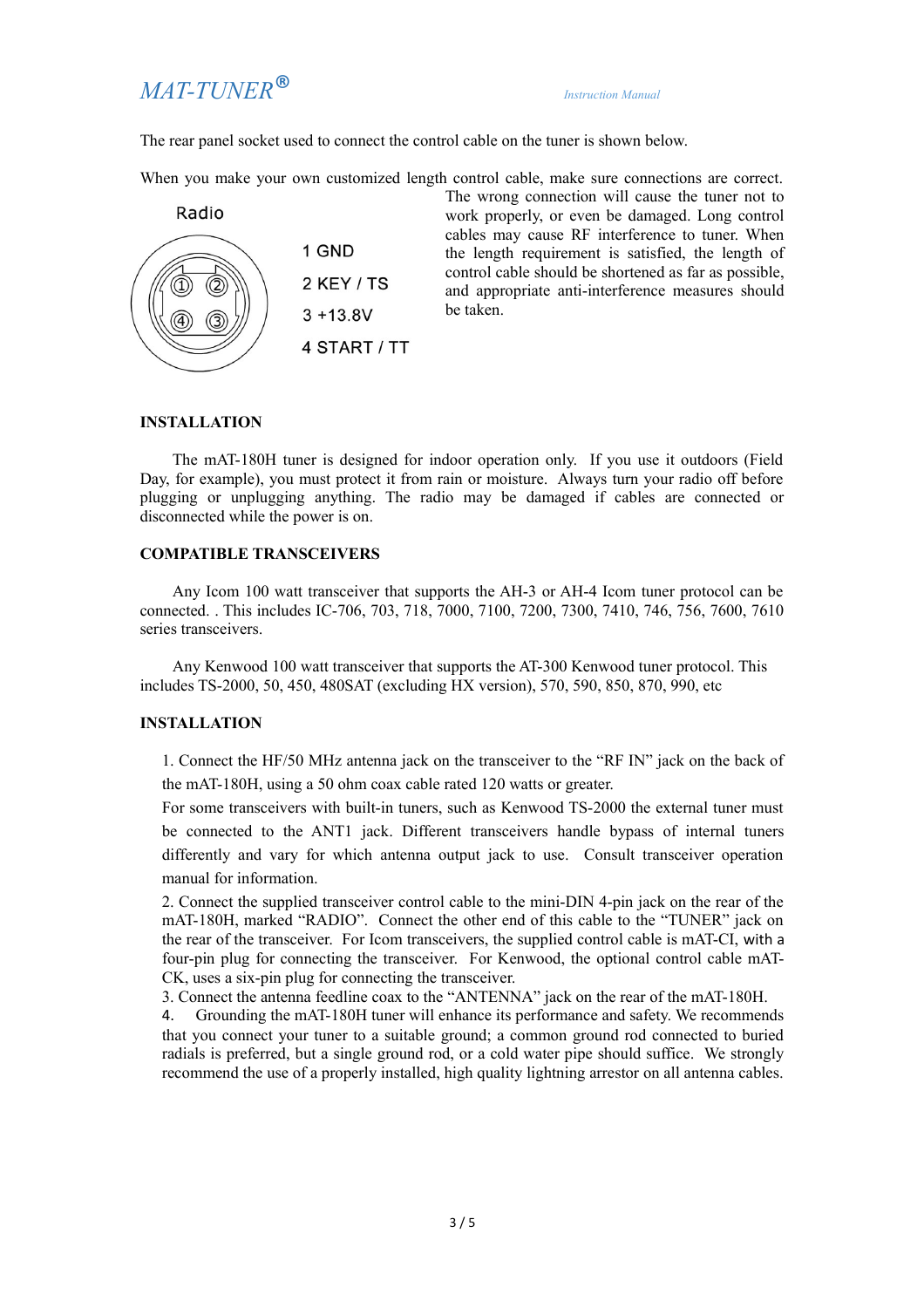# *MAT-TUNER*® *Instruction Manual*

The rear panel socket used to connect the control cable on the tuner is shown below.

When you make your own customized length control cable, make sure connections are correct.



The wrong connection will cause the tuner not to work properly, or even be damaged. Long control cables may cause RF interference to tuner. When the length requirement is satisfied, the length of control cable should be shortened as far as possible, and appropriate anti-interference measures should be taken.

## **INSTALLATION**

The mAT-180H tuner is designed for indoor operation only. If you use it outdoors (Field Day, for example), you must protect it from rain or moisture. Always turn your radio off before plugging or unplugging anything. The radio may be damaged if cables are connected or disconnected while the power is on.

### **COMPATIBLE TRANSCEIVERS**

Any Icom 100 watt transceiver that supports the AH-3 or AH-4 Icom tuner protocol can be connected. . This includes IC-706, 703, 718, 7000, 7100, 7200, 7300, 7410, 746, 756, 7600, 7610 series transceivers.

Any Kenwood 100 watt transceiver that supports the AT-300 Kenwood tuner protocol. This includes TS-2000, 50, 450, 480SAT (excluding HX version), 570, 590, 850, 870, 990, etc

#### **INSTALLATION**

1. Connect the HF/50 MHz antenna jack on the transceiver to the "RF IN" jack on the back of the mAT-180H, using a 50 ohm coax cable rated 120 watts or greater.

For some transceivers with built-in tuners, such as Kenwood TS-2000 the external tuner must be connected to the ANT1 jack. Different transceivers handle bypass of internal tuners differently and vary for which antenna output jack to use. Consult transceiver operation manual for information.

2. Connect the supplied transceiver control cable to the mini-DIN 4-pin jack on the rear of the mAT-180H, marked "RADIO". Connect the other end of this cable to the "TUNER" jack on the rear of the transceiver. For Icom transceivers, the supplied control cable is mAT-CI, with a four-pin plug for connecting the transceiver. For Kenwood, the optional control cable mAT-CK, uses a six-pin plug for connecting the transceiver.

3. Connect the antenna feedline coax to the "ANTENNA" jack on the rear of the mAT-180H.

4. Grounding the mAT-180H tuner will enhance its performance and safety. We recommends that you connect your tuner to a suitable ground; a common ground rod connected to buried radials is preferred, but a single ground rod, or a cold water pipe should suffice. We strongly recommend the use of a properly installed, high quality lightning arrestor on all antenna cables.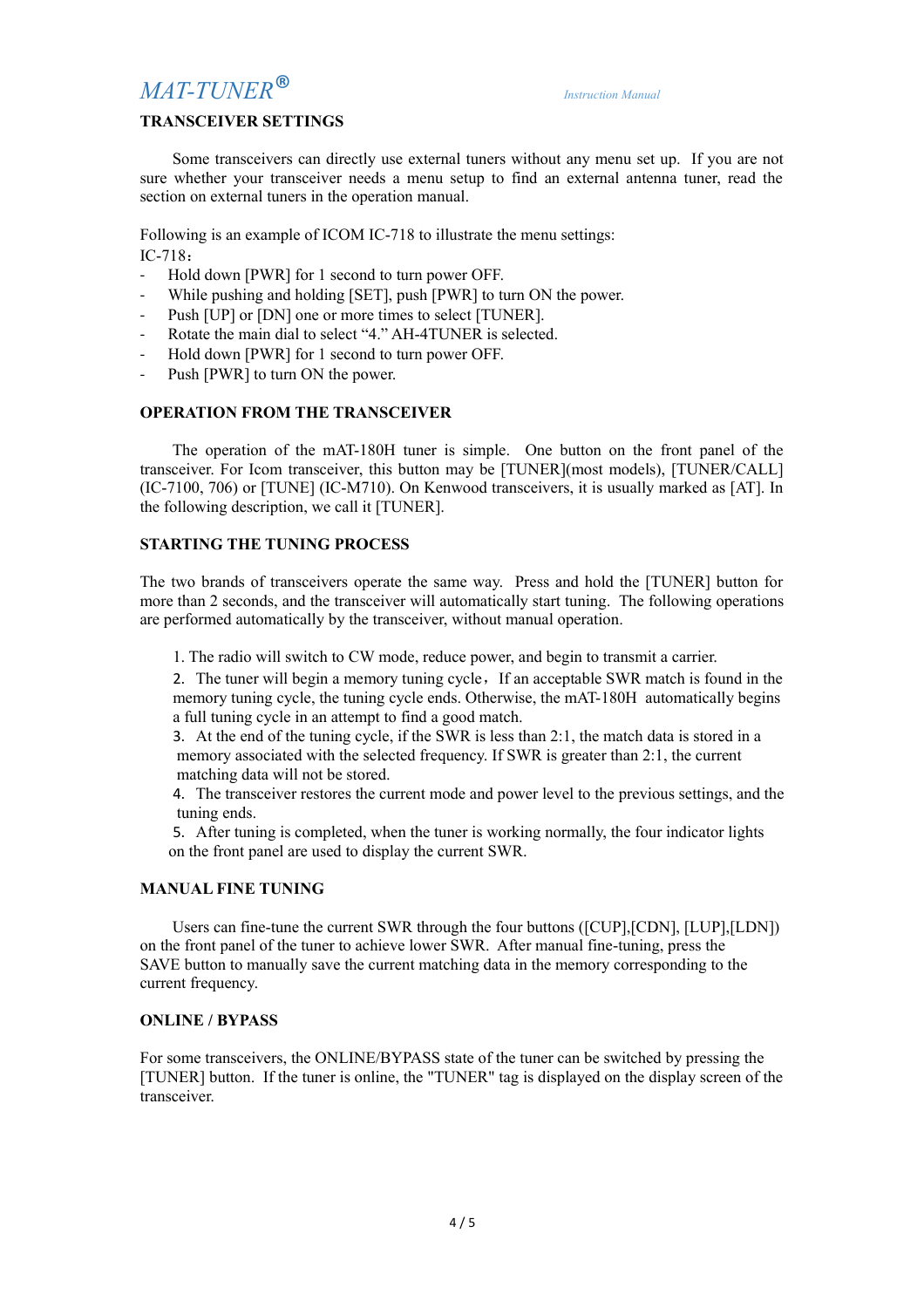# *MAT-TUNER*® *Instruction Manual*

# **TRANSCEIVER SETTINGS**

Some transceivers can directly use external tuners without any menu set up. If you are not sure whether your transceiver needs a menu setup to find an external antenna tuner, read the section on external tuners in the operation manual.

Following is an example of ICOM IC-718 to illustrate the menu settings: IC-718:

- Hold down [PWR] for 1 second to turn power OFF.
- While pushing and holding [SET], push [PWR] to turn ON the power.
- Push [UP] or [DN] one or more times to select [TUNER].
- Rotate the main dial to select "4." AH-4TUNER is selected.
- Hold down [PWR] for 1 second to turn power OFF.
- Push [PWR] to turn ON the power.

### **OPERATION FROM THE TRANSCEIVER**

The operation of the mAT-180H tuner is simple. One button on the front panel of the transceiver. For Icom transceiver, this button may be [TUNER](most models), [TUNER/CALL] (IC-7100, 706) or [TUNE] (IC-M710). On Kenwood transceivers, it is usually marked as [AT]. In the following description, we call it [TUNER].

# **STARTING THE TUNING PROCESS**

The two brands of transceivers operate the same way. Press and hold the [TUNER] button for more than 2 seconds, and the transceiver will automatically start tuning. The following operations are performed automatically by the transceiver, without manual operation.

1. The radio will switch to CW mode, reduce power, and begin to transmit a carrier.

2. The tuner will begin a memory tuning cycle, If an acceptable SWR match is found in the memory tuning cycle, the tuning cycle ends. Otherwise, the mAT-180H automatically begins a full tuning cycle in an attempt to find a good match.

3. At the end of the tuning cycle, if the SWR is less than 2:1, the match data is stored in a memory associated with the selected frequency. If SWR is greater than 2:1, the current matching data will not be stored.

4. The transceiver restores the current mode and power level to the previous settings, and the tuning ends.

5. After tuning is completed, when the tuner is working normally, the four indicator lights on the front panel are used to display the current SWR.

#### **MANUAL FINE TUNING**

Users can fine-tune the current SWR through the four buttons ([CUP],[CDN], [LUP],[LDN]) on the front panel of the tuner to achieve lower SWR. After manual fine-tuning, press the SAVE button to manually save the current matching data in the memory corresponding to the current frequency.

#### **ONLINE / BYPASS**

For some transceivers, the ONLINE/BYPASS state of the tuner can be switched by pressing the [TUNER] button. If the tuner is online, the "TUNER" tag is displayed on the display screen of the transceiver.